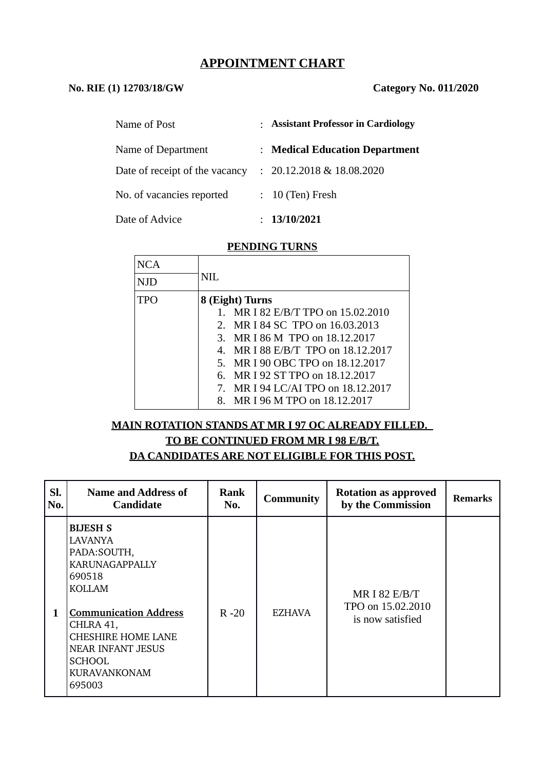# **APPOINTMENT CHART**

#### **No. RIE (1) 12703/18/GW Category No. 011/2020**

| Name of Post                   | : Assistant Professor in Cardiology |
|--------------------------------|-------------------------------------|
| Name of Department             | : Medical Education Department      |
| Date of receipt of the vacancy | $: 20.12.2018 \& 18.08.2020$        |
| No. of vacancies reported      | $: 10$ (Ten) Fresh                  |
| Date of Advice                 | 13/10/2021                          |

#### **PENDING TURNS**

| NCA |                                    |
|-----|------------------------------------|
| NJD | NIL.                               |
| TPO | 8 (Eight) Turns                    |
|     | MR I 82 E/B/T TPO on 15.02.2010    |
|     | 2. MR I 84 SC TPO on 16.03.2013    |
|     | 3. MR I 86 M TPO on 18.12.2017     |
|     | 4. MR I 88 E/B/T TPO on 18.12.2017 |
|     | 5. MR I 90 OBC TPO on 18.12.2017   |
|     | MR I 92 ST TPO on 18.12.2017<br>6. |
|     | 7. MR I 94 LC/AI TPO on 18.12.2017 |
|     | MR I 96 M TPO on 18.12.2017<br>8.  |

#### **MAIN ROTATION STANDS AT MR I 97 OC ALREADY FILLED.**

# **TO BE CONTINUED FROM MR I 98 E/B/T. DA CANDIDATES ARE NOT ELIGIBLE FOR THIS POST.**

| SI.<br>No. | <b>Name and Address of</b><br><b>Candidate</b>                                                                                                                                                                                           | Rank<br>No. | <b>Community</b> | <b>Rotation as approved</b><br>by the Commission         | <b>Remarks</b> |
|------------|------------------------------------------------------------------------------------------------------------------------------------------------------------------------------------------------------------------------------------------|-------------|------------------|----------------------------------------------------------|----------------|
| 1          | <b>BIJESH S</b><br>LAVANYA<br>PADA: SOUTH,<br>KARUNAGAPPALLY<br>690518<br>KOLLAM<br><b>Communication Address</b><br>CHLRA 41,<br><b>CHESHIRE HOME LANE</b><br><b>NEAR INFANT JESUS</b><br><b>SCHOOL</b><br><b>KURAVANKONAM</b><br>695003 | $R - 20$    | <b>EZHAVA</b>    | MR I 82 $E/B/T$<br>TPO on 15.02.2010<br>is now satisfied |                |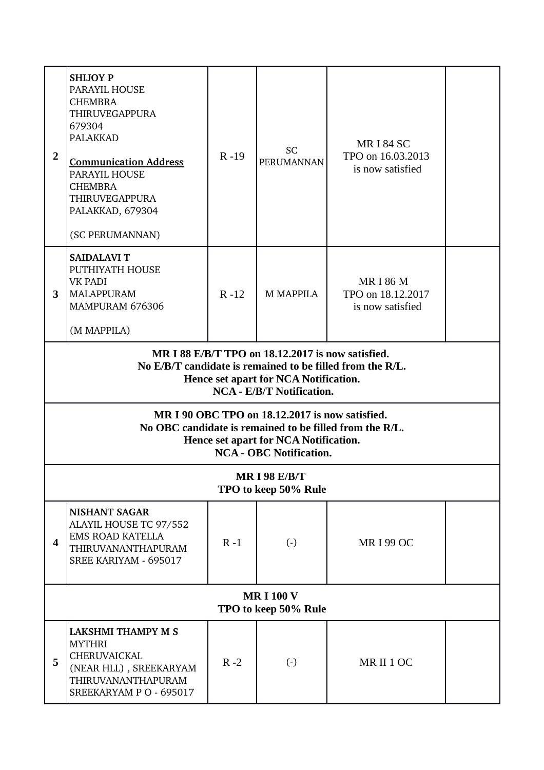| $\overline{2}$                                                                                                                                                                              | <b>SHIJOY P</b><br>PARAYIL HOUSE<br><b>CHEMBRA</b><br><b>THIRUVEGAPPURA</b><br>679304<br><b>PALAKKAD</b><br><b>Communication Address</b><br><b>PARAYIL HOUSE</b><br><b>CHEMBRA</b><br><b>THIRUVEGAPPURA</b><br>PALAKKAD, 679304<br>(SC PERUMANNAN) | $R - 19$ | SC<br><b>PERUMANNAN</b> | <b>MRI 84 SC</b><br>TPO on 16.03.2013<br>is now satisfied |  |
|---------------------------------------------------------------------------------------------------------------------------------------------------------------------------------------------|----------------------------------------------------------------------------------------------------------------------------------------------------------------------------------------------------------------------------------------------------|----------|-------------------------|-----------------------------------------------------------|--|
| 3                                                                                                                                                                                           | <b>SAIDALAVI T</b><br>PUTHIYATH HOUSE<br>VK PADI<br><b>MALAPPURAM</b><br>MAMPURAM 676306<br>(M MAPPILA)                                                                                                                                            | $R - 12$ | <b>M MAPPILA</b>        | <b>MRI 86 M</b><br>TPO on 18.12.2017<br>is now satisfied  |  |
| MR I 88 E/B/T TPO on 18.12.2017 is now satisfied.<br>No E/B/T candidate is remained to be filled from the R/L.<br>Hence set apart for NCA Notification.<br><b>NCA - E/B/T Notification.</b> |                                                                                                                                                                                                                                                    |          |                         |                                                           |  |
| MR I 90 OBC TPO on 18.12.2017 is now satisfied.<br>No OBC candidate is remained to be filled from the R/L.<br>Hence set apart for NCA Notification.<br><b>NCA - OBC Notification.</b>       |                                                                                                                                                                                                                                                    |          |                         |                                                           |  |
| <b>MR I 98 E/B/T</b><br>TPO to keep 50% Rule                                                                                                                                                |                                                                                                                                                                                                                                                    |          |                         |                                                           |  |
| 4                                                                                                                                                                                           | <b>NISHANT SAGAR</b><br>ALAYIL HOUSE TC 97/552<br><b>EMS ROAD KATELLA</b><br>THIRUVANANTHAPURAM<br>SREE KARIYAM - 695017                                                                                                                           | $R - 1$  | $\left( \cdot \right)$  | <b>MRI 99 OC</b>                                          |  |
| <b>MRI100V</b><br>TPO to keep 50% Rule                                                                                                                                                      |                                                                                                                                                                                                                                                    |          |                         |                                                           |  |
| 5                                                                                                                                                                                           | <b>LAKSHMI THAMPY M S</b><br><b>MYTHRI</b><br>CHERUVAICKAL<br>(NEAR HLL), SREEKARYAM<br>THIRUVANANTHAPURAM<br>SREEKARYAM P O - 695017                                                                                                              | $R - 2$  | $\left( \cdot \right)$  | MRII1OC                                                   |  |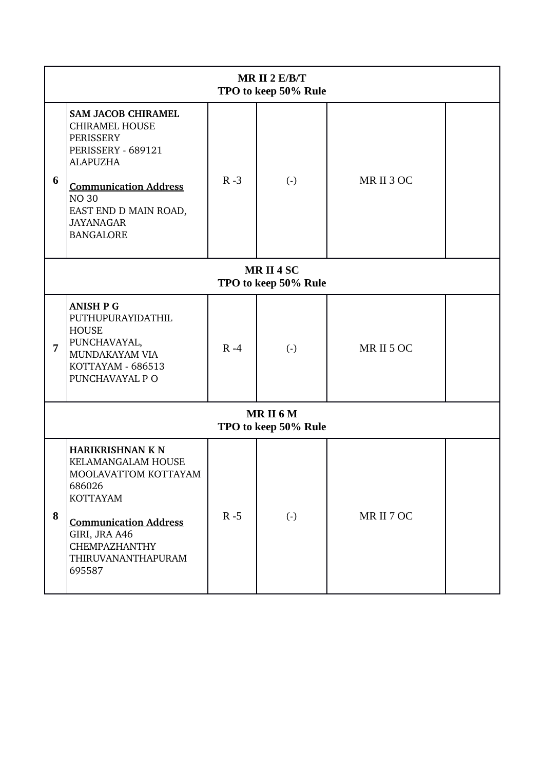| MR II $2 E/B/T$<br>TPO to keep 50% Rule |                                                                                                                                                                                                                           |         |                        |            |  |
|-----------------------------------------|---------------------------------------------------------------------------------------------------------------------------------------------------------------------------------------------------------------------------|---------|------------------------|------------|--|
| 6                                       | <b>SAM JACOB CHIRAMEL</b><br><b>CHIRAMEL HOUSE</b><br>PERISSERY<br>PERISSERY - 689121<br><b>ALAPUZHA</b><br><b>Communication Address</b><br><b>NO 30</b><br>EAST END D MAIN ROAD,<br><b>JAYANAGAR</b><br><b>BANGALORE</b> | $R - 3$ | $\left( \cdot \right)$ | MRII 3 OC  |  |
| MRII4SC<br>TPO to keep 50% Rule         |                                                                                                                                                                                                                           |         |                        |            |  |
| $\overline{7}$                          | <b>ANISH P G</b><br>PUTHUPURAYIDATHIL<br><b>HOUSE</b><br>PUNCHAVAYAL,<br>MUNDAKAYAM VIA<br>KOTTAYAM - 686513<br>PUNCHAVAYAL P O                                                                                           | $R - 4$ | $\left( \cdot \right)$ | MRII5OC    |  |
| MRII6M<br>TPO to keep 50% Rule          |                                                                                                                                                                                                                           |         |                        |            |  |
| 8                                       | HARIKRISHNAN K N<br>KELAMANGALAM HOUSE<br>MOOLAVATTOM KOTTAYAM<br>686026<br><b>KOTTAYAM</b><br><b>Communication Address</b><br>GIRI, JRA A46<br><b>CHEMPAZHANTHY</b><br>THIRUVANANTHAPURAM<br>695587                      | $R - 5$ | $(\cdot)$              | MR II 7 OC |  |